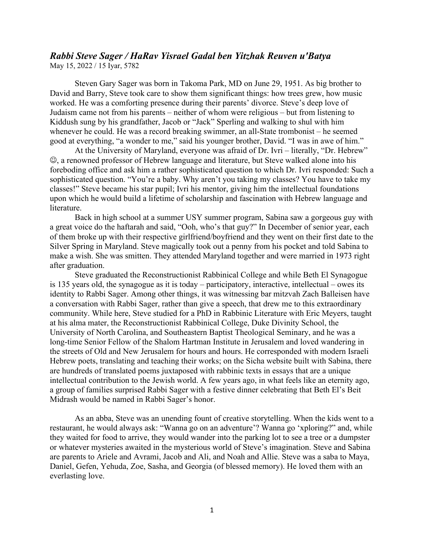## *Rabbi Steve Sager / HaRav Yisrael Gadal ben Yitzhak Reuven u'Batya* May 15, 2022 / 15 Iyar, 5782

Steven Gary Sager was born in Takoma Park, MD on June 29, 1951. As big brother to David and Barry, Steve took care to show them significant things: how trees grew, how music worked. He was a comforting presence during their parents' divorce. Steve's deep love of Judaism came not from his parents – neither of whom were religious – but from listening to Kiddush sung by his grandfather, Jacob or "Jack" Sperling and walking to shul with him whenever he could. He was a record breaking swimmer, an all-State trombonist – he seemed good at everything, "a wonder to me," said his younger brother, David. "I was in awe of him."

At the University of Maryland, everyone was afraid of Dr. Ivri – literally, "Dr. Hebrew" , a renowned professor of Hebrew language and literature, but Steve walked alone into his foreboding office and ask him a rather sophisticated question to which Dr. Ivri responded: Such a sophisticated question. "You're a baby. Why aren't you taking my classes? You have to take my classes!" Steve became his star pupil; Ivri his mentor, giving him the intellectual foundations upon which he would build a lifetime of scholarship and fascination with Hebrew language and literature.

Back in high school at a summer USY summer program, Sabina saw a gorgeous guy with a great voice do the haftarah and said, "Ooh, who's that guy?" In December of senior year, each of them broke up with their respective girlfriend/boyfriend and they went on their first date to the Silver Spring in Maryland. Steve magically took out a penny from his pocket and told Sabina to make a wish. She was smitten. They attended Maryland together and were married in 1973 right after graduation.

Steve graduated the Reconstructionist Rabbinical College and while Beth El Synagogue is 135 years old, the synagogue as it is today – participatory, interactive, intellectual – owes its identity to Rabbi Sager. Among other things, it was witnessing bar mitzvah Zach Balleisen have a conversation with Rabbi Sager, rather than give a speech, that drew me to this extraordinary community. While here, Steve studied for a PhD in Rabbinic Literature with Eric Meyers, taught at his alma mater, the Reconstructionist Rabbinical College, Duke Divinity School, the University of North Carolina, and Southeastern Baptist Theological Seminary, and he was a long-time Senior Fellow of the Shalom Hartman Institute in Jerusalem and loved wandering in the streets of Old and New Jerusalem for hours and hours. He corresponded with modern Israeli Hebrew poets, translating and teaching their works; on the Sicha website built with Sabina, there are hundreds of translated poems juxtaposed with rabbinic texts in essays that are a unique intellectual contribution to the Jewish world. A few years ago, in what feels like an eternity ago, a group of families surprised Rabbi Sager with a festive dinner celebrating that Beth El's Beit Midrash would be named in Rabbi Sager's honor.

As an abba, Steve was an unending fount of creative storytelling. When the kids went to a restaurant, he would always ask: "Wanna go on an adventure'? Wanna go 'xploring?" and, while they waited for food to arrive, they would wander into the parking lot to see a tree or a dumpster or whatever mysteries awaited in the mysterious world of Steve's imagination. Steve and Sabina are parents to Ariele and Avrami, Jacob and Ali, and Noah and Allie. Steve was a saba to Maya, Daniel, Gefen, Yehuda, Zoe, Sasha, and Georgia (of blessed memory). He loved them with an everlasting love.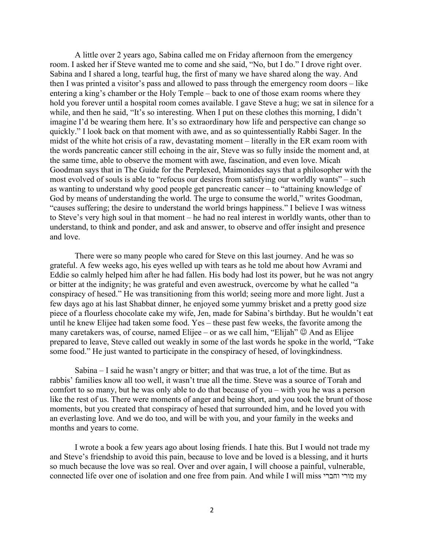A little over 2 years ago, Sabina called me on Friday afternoon from the emergency room. I asked her if Steve wanted me to come and she said, "No, but I do." I drove right over. Sabina and I shared a long, tearful hug, the first of many we have shared along the way. And then I was printed a visitor's pass and allowed to pass through the emergency room doors – like entering a king's chamber or the Holy Temple – back to one of those exam rooms where they hold you forever until a hospital room comes available. I gave Steve a hug; we sat in silence for a while, and then he said, "It's so interesting. When I put on these clothes this morning, I didn't imagine I'd be wearing them here. It's so extraordinary how life and perspective can change so quickly." I look back on that moment with awe, and as so quintessentially Rabbi Sager. In the midst of the white hot crisis of a raw, devastating moment – literally in the ER exam room with the words pancreatic cancer still echoing in the air, Steve was so fully inside the moment and, at the same time, able to observe the moment with awe, fascination, and even love. Micah Goodman says that in The Guide for the Perplexed, Maimonides says that a philosopher with the most evolved of souls is able to "refocus our desires from satisfying our worldly wants" – such as wanting to understand why good people get pancreatic cancer – to "attaining knowledge of God by means of understanding the world. The urge to consume the world," writes Goodman, "causes suffering; the desire to understand the world brings happiness." I believe I was witness to Steve's very high soul in that moment – he had no real interest in worldly wants, other than to understand, to think and ponder, and ask and answer, to observe and offer insight and presence and love.

There were so many people who cared for Steve on this last journey. And he was so grateful. A few weeks ago, his eyes welled up with tears as he told me about how Avrami and Eddie so calmly helped him after he had fallen. His body had lost its power, but he was not angry or bitter at the indignity; he was grateful and even awestruck, overcome by what he called "a conspiracy of hesed." He was transitioning from this world; seeing more and more light. Just a few days ago at his last Shabbat dinner, he enjoyed some yummy brisket and a pretty good size piece of a flourless chocolate cake my wife, Jen, made for Sabina's birthday. But he wouldn't eat until he knew Elijee had taken some food. Yes – these past few weeks, the favorite among the many caretakers was, of course, named Elijee – or as we call him, "Elijah"  $\odot$  And as Elijee prepared to leave, Steve called out weakly in some of the last words he spoke in the world, "Take some food." He just wanted to participate in the conspiracy of hesed, of lovingkindness.

Sabina – I said he wasn't angry or bitter; and that was true, a lot of the time. But as rabbis' families know all too well, it wasn't true all the time. Steve was a source of Torah and comfort to so many, but he was only able to do that because of you – with you he was a person like the rest of us. There were moments of anger and being short, and you took the brunt of those moments, but you created that conspiracy of hesed that surrounded him, and he loved you with an everlasting love. And we do too, and will be with you, and your family in the weeks and months and years to come.

I wrote a book a few years ago about losing friends. I hate this. But I would not trade my and Steve's friendship to avoid this pain, because to love and be loved is a blessing, and it hurts so much because the love was so real. Over and over again, I will choose a painful, vulnerable, connected life over one of isolation and one free from pain. And while I will miss וחברי מורי my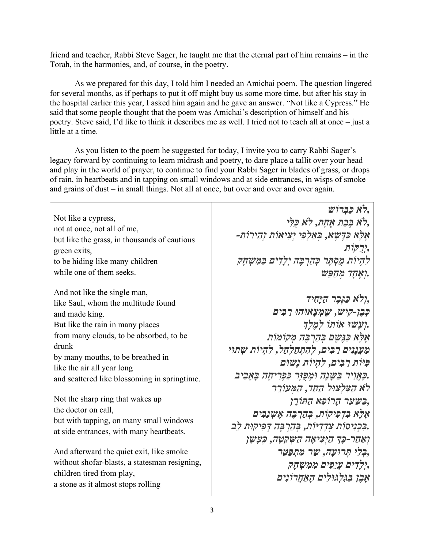friend and teacher, Rabbi Steve Sager, he taught me that the eternal part of him remains – in the Torah, in the harmonies, and, of course, in the poetry.

As we prepared for this day, I told him I needed an Amichai poem. The question lingered for several months, as if perhaps to put it off might buy us some more time, but after his stay in the hospital earlier this year, I asked him again and he gave an answer. "Not like a Cypress." He said that some people thought that the poem was Amichai's description of himself and his poetry. Steve said, I'd like to think it describes me as well. I tried not to teach all at once – just a little at a time.

As you listen to the poem he suggested for today, I invite you to carry Rabbi Sager's legacy forward by continuing to learn midrash and poetry, to dare place a tallit over your head and play in the world of prayer, to continue to find your Rabbi Sager in blades of grass, or drops of rain, in heartbeats and in tapping on small windows and at side entrances, in wisps of smoke and grains of dust – in small things. Not all at once, but over and over and over again.

|                                               | לא כַּבְרוֹשׁ,                                          |
|-----------------------------------------------|---------------------------------------------------------|
| Not like a cypress,                           | לא בִּבַת אָחָת, לֹא כַּלִּי,                           |
| not at once, not all of me,                   | אַלָּא כַּדֵשֵׂא, בִּאַלְפֵי יְצִיאוֹת וְהִירוֹת-       |
| but like the grass, in thousands of cautious  | ירַקּוֹת,                                               |
| green exits,                                  | להיות מסתר כהרבה ילדים במשחק                            |
| to be hiding like many children               |                                                         |
| while one of them seeks.                      | גאַחָד מְחַפִּשׁ.                                       |
| And not like the single man,                  |                                                         |
| like Saul, whom the multitude found           | ולא כַּגֵּבֵר הַיַּחִיד,                                |
| and made king.                                | כִּבֵן-קִישׁ, שֵׁמְצָאוּהוּ רַבִּים                     |
| But like the rain in many places              | ועשו אותו למלך.                                         |
| from many clouds, to be absorbed, to be       | אַלַא כַּגֵּשֵׁם בְּהַרְבֵּה מְקוֹמוֹת                  |
| drunk                                         | מֵעְנְנִים רַבִּים, לְהָתְחַלְחֵל, לְהִיוֹת שְׁתוּי     |
| by many mouths, to be breathed in             | פּיוֹת רַבִּים, לִהְיוֹת נַשׁוּם                        |
| like the air all year long                    |                                                         |
| and scattered like blossoming in springtime.  | ַכְּאֲוִיר בַּשָּׁנָה וּמִכְּזָר כִּפְרִיחָה בָּאָבִיב. |
|                                               | לא הַצְּלִצוּל הַחַד, הַמְּעוֹרֵר                       |
| Not the sharp ring that wakes up              | בִּשְׁעַר הָרוֹפָא הַתּוֹרָן,                           |
| the doctor on call,                           | אַלָּא בִּדְפִיקוֹת, בְּהַרְבֵּה אֵשְׁנַבִּיִם          |
| but with tapping, on many small windows       | בִּבְנִיסוֹת צְדָדְיּוֹת, בְּהַרְבֵּה דְפִיקוּת לְב     |
| at side entrances, with many heartbeats.      | ואַחַר-כַּךְ הַיִּצִיאָה הַשְׁקֵטָה, כֵּעַשָׁן          |
| And afterward the quiet exit, like smoke      | ,בִּלִי תְּרוּעָה, שַׁר מְתִפַּטֵּר                     |
| without shofar-blasts, a statesman resigning, |                                                         |
| children tired from play,                     | ילדים עיפים ממשחק,                                      |
| a stone as it almost stops rolling            | אָבֶן בַּגְלְגוּלִים הַאַחֲרוֹנִים                      |
|                                               |                                                         |